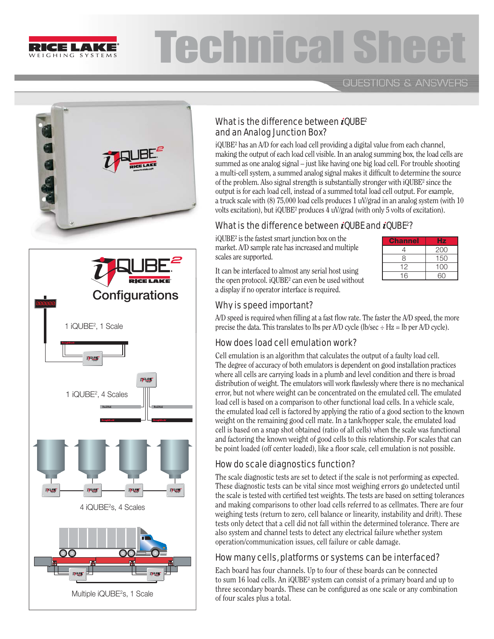

# **Technical**

**QUESTIONS & ANSWERS** 





# What is the difference between  $i$  QUBE<sup>2</sup> and an Analog Junction Box?

iQUBE² has an A/D for each load cell providing a digital value from each channel, making the output of each load cell visible. In an analog summing box, the load cells are summed as one analog signal – just like having one big load cell. For trouble shooting a multi-cell system, a summed analog signal makes it difficult to determine the source of the problem. Also signal strength is substantially stronger with iQUBE² since the output is for each load cell, instead of a summed total load cell output. For example, a truck scale with (8) 75,000 load cells produces 1 uV/grad in an analog system (with 10 volts excitation), but iQUBE² produces 4 uV/grad (with only 5 volts of excitation).

### What is the difference between  $i$ QUBE and  $i$ QUBE<sup>2</sup>?

iQUBE² is the fastest smart junction box on the market. A/D sample rate has increased and multiple scales are supported.

It can be interfaced to almost any serial host using the open protocol. iQUBE<sup>2</sup> can even be used without  $16$  00 a display if no operator interface is required.

| <b>Channel</b> | Нz  |
|----------------|-----|
| 4              | 200 |
| 8              | 150 |
| 12             | 100 |
| 16             | 60  |

## Why is speed important?

A/D speed is required when filling at a fast flow rate. The faster the A/D speed, the more precise the data. This translates to lbs per A/D cycle (lb/sec  $\div$  Hz = lb per A/D cycle).

# How does load cell emulation work?

Cell emulation is an algorithm that calculates the output of a faulty load cell. The degree of accuracy of both emulators is dependent on good installation practices where all cells are carrying loads in a plumb and level condition and there is broad distribution of weight. The emulators will work flawlessly where there is no mechanical error, but not where weight can be concentrated on the emulated cell. The emulated load cell is based on a comparison to other functional load cells. In a vehicle scale, the emulated load cell is factored by applying the ratio of a good section to the known weight on the remaining good cell mate. In a tank/hopper scale, the emulated load cell is based on a snap shot obtained (ratio of all cells) when the scale was functional and factoring the known weight of good cells to this relationship. For scales that can be point loaded (off center loaded), like a floor scale, cell emulation is not possible.

# How do scale diagnostics function?

The scale diagnostic tests are set to detect if the scale is not performing as expected. These diagnostic tests can be vital since most weighing errors go undetected until the scale is tested with certified test weights. The tests are based on setting tolerances and making comparisons to other load cells referred to as cellmates. There are four weighing tests (return to zero, cell balance or linearity, instability and drift). These tests only detect that a cell did not fall within the determined tolerance. There are also system and channel tests to detect any electrical failure whether system operation/communication issues, cell failure or cable damage.

### How many cells, platforms or systems can be interfaced?

Each board has four channels. Up to four of these boards can be connected to sum 16 load cells. An iQUBE² system can consist of a primary board and up to three secondary boards. These can be configured as one scale or any combination of four scales plus a total.